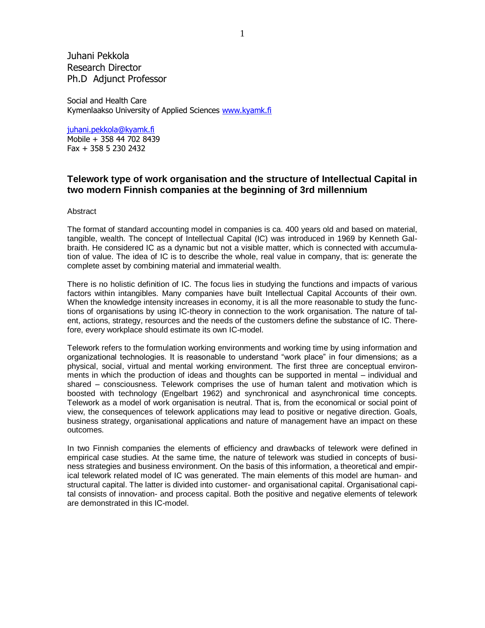Juhani Pekkola Research Director Ph.D Adjunct Professor

Social and Health Care Kymenlaakso University of Applied Sciences www.kyamk.fi

juhani.pekkola@kyamk.fi

Mobile + 358 44 702 8439 Fax + 358 5 230 2432

# **Telework type of work organisation and the structure of Intellectual Capital in two modern Finnish companies at the beginning of 3rd millennium**

### **Abstract**

The format of standard accounting model in companies is ca. 400 years old and based on material, tangible, wealth. The concept of Intellectual Capital (IC) was introduced in 1969 by Kenneth Galbraith. He considered IC as a dynamic but not a visible matter, which is connected with accumulation of value. The idea of IC is to describe the whole, real value in company, that is: generate the complete asset by combining material and immaterial wealth.

There is no holistic definition of IC. The focus lies in studying the functions and impacts of various factors within intangibles. Many companies have built Intellectual Capital Accounts of their own. When the knowledge intensity increases in economy, it is all the more reasonable to study the functions of organisations by using IC-theory in connection to the work organisation. The nature of talent, actions, strategy, resources and the needs of the customers define the substance of IC. Therefore, every workplace should estimate its own IC-model.

Telework refers to the formulation working environments and working time by using information and organizational technologies. It is reasonable to understand "work place" in four dimensions; as a physical, social, virtual and mental working environment. The first three are conceptual environments in which the production of ideas and thoughts can be supported in mental – individual and shared – consciousness. Telework comprises the use of human talent and motivation which is boosted with technology (Engelbart 1962) and synchronical and asynchronical time concepts. Telework as a model of work organisation is neutral. That is, from the economical or social point of view, the consequences of telework applications may lead to positive or negative direction. Goals, business strategy, organisational applications and nature of management have an impact on these outcomes.

In two Finnish companies the elements of efficiency and drawbacks of telework were defined in empirical case studies. At the same time, the nature of telework was studied in concepts of business strategies and business environment. On the basis of this information, a theoretical and empirical telework related model of IC was generated. The main elements of this model are human- and structural capital. The latter is divided into customer- and organisational capital. Organisational capital consists of innovation- and process capital. Both the positive and negative elements of telework are demonstrated in this IC-model.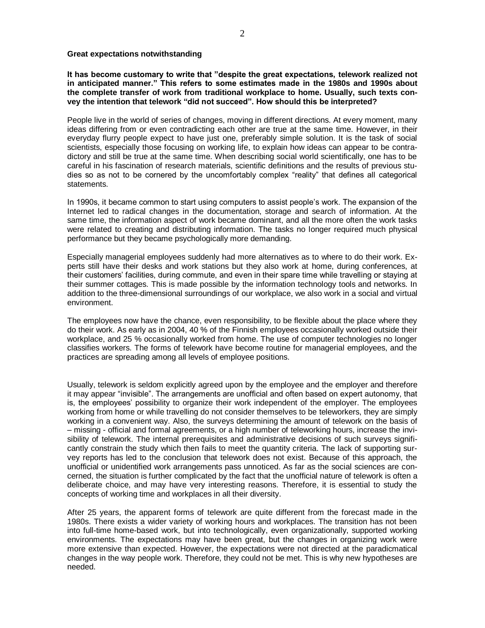#### **Great expectations notwithstanding**

**It has become customary to write that "despite the great expectations, telework realized not in anticipated manner." This refers to some estimates made in the 1980s and 1990s about the complete transfer of work from traditional workplace to home. Usually, such texts convey the intention that telework "did not succeed". How should this be interpreted?** 

People live in the world of series of changes, moving in different directions. At every moment, many ideas differing from or even contradicting each other are true at the same time. However, in their everyday flurry people expect to have just one, preferably simple solution. It is the task of social scientists, especially those focusing on working life, to explain how ideas can appear to be contradictory and still be true at the same time. When describing social world scientifically, one has to be careful in his fascination of research materials, scientific definitions and the results of previous studies so as not to be cornered by the uncomfortably complex "reality" that defines all categorical statements.

In 1990s, it became common to start using computers to assist people's work. The expansion of the Internet led to radical changes in the documentation, storage and search of information. At the same time, the information aspect of work became dominant, and all the more often the work tasks were related to creating and distributing information. The tasks no longer required much physical performance but they became psychologically more demanding.

Especially managerial employees suddenly had more alternatives as to where to do their work. Experts still have their desks and work stations but they also work at home, during conferences, at their customers' facilities, during commute, and even in their spare time while travelling or staying at their summer cottages. This is made possible by the information technology tools and networks. In addition to the three-dimensional surroundings of our workplace, we also work in a social and virtual environment.

The employees now have the chance, even responsibility, to be flexible about the place where they do their work. As early as in 2004, 40 % of the Finnish employees occasionally worked outside their workplace, and 25 % occasionally worked from home. The use of computer technologies no longer classifies workers. The forms of telework have become routine for managerial employees, and the practices are spreading among all levels of employee positions.

Usually, telework is seldom explicitly agreed upon by the employee and the employer and therefore it may appear "invisible". The arrangements are unofficial and often based on expert autonomy, that is, the employees' possibility to organize their work independent of the employer. The employees working from home or while travelling do not consider themselves to be teleworkers, they are simply working in a convenient way. Also, the surveys determining the amount of telework on the basis of – missing - official and formal agreements, or a high number of teleworking hours, increase the invisibility of telework. The internal prerequisites and administrative decisions of such surveys significantly constrain the study which then fails to meet the quantity criteria. The lack of supporting survey reports has led to the conclusion that telework does not exist. Because of this approach, the unofficial or unidentified work arrangements pass unnoticed. As far as the social sciences are concerned, the situation is further complicated by the fact that the unofficial nature of telework is often a deliberate choice, and may have very interesting reasons. Therefore, it is essential to study the concepts of working time and workplaces in all their diversity.

After 25 years, the apparent forms of telework are quite different from the forecast made in the 1980s. There exists a wider variety of working hours and workplaces. The transition has not been into full-time home-based work, but into technologically, even organizationally, supported working environments. The expectations may have been great, but the changes in organizing work were more extensive than expected. However, the expectations were not directed at the paradicmatical changes in the way people work. Therefore, they could not be met. This is why new hypotheses are needed.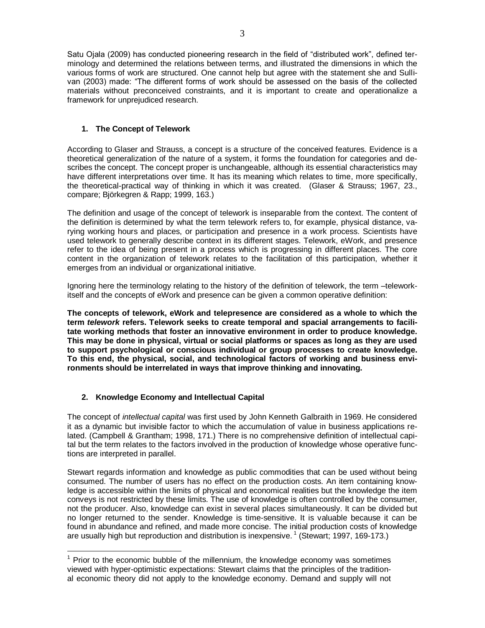Satu Ojala (2009) has conducted pioneering research in the field of "distributed work", defined terminology and determined the relations between terms, and illustrated the dimensions in which the various forms of work are structured. One cannot help but agree with the statement she and Sullivan (2003) made: "The different forms of work should be assessed on the basis of the collected materials without preconceived constraints, and it is important to create and operationalize a framework for unprejudiced research.

## **1. The Concept of Telework**

According to Glaser and Strauss, a concept is a structure of the conceived features. Evidence is a theoretical generalization of the nature of a system, it forms the foundation for categories and describes the concept. The concept proper is unchangeable, although its essential characteristics may have different interpretations over time. It has its meaning which relates to time, more specifically, the theoretical-practical way of thinking in which it was created. (Glaser & Strauss; 1967, 23., compare; Björkegren & Rapp; 1999, 163.)

The definition and usage of the concept of telework is inseparable from the context. The content of the definition is determined by what the term telework refers to, for example, physical distance, varying working hours and places, or participation and presence in a work process. Scientists have used telework to generally describe context in its different stages. Telework, eWork, and presence refer to the idea of being present in a process which is progressing in different places. The core content in the organization of telework relates to the facilitation of this participation, whether it emerges from an individual or organizational initiative.

Ignoring here the terminology relating to the history of the definition of telework, the term –teleworkitself and the concepts of eWork and presence can be given a common operative definition:

**The concepts of telework, eWork and telepresence are considered as a whole to which the term** *telework* **refers. Telework seeks to create temporal and spacial arrangements to facilitate working methods that foster an innovative environment in order to produce knowledge. This may be done in physical, virtual or social platforms or spaces as long as they are used to support psychological or conscious individual or group processes to create knowledge. To this end, the physical, social, and technological factors of working and business environments should be interrelated in ways that improve thinking and innovating.**

# **2. Knowledge Economy and Intellectual Capital**

 $\overline{a}$ 

The concept of *intellectual capital* was first used by John Kenneth Galbraith in 1969. He considered it as a dynamic but invisible factor to which the accumulation of value in business applications related. (Campbell & Grantham; 1998, 171.) There is no comprehensive definition of intellectual capital but the term relates to the factors involved in the production of knowledge whose operative functions are interpreted in parallel.

Stewart regards information and knowledge as public commodities that can be used without being consumed. The number of users has no effect on the production costs. An item containing knowledge is accessible within the limits of physical and economical realities but the knowledge the item conveys is not restricted by these limits. The use of knowledge is often controlled by the consumer, not the producer. Also, knowledge can exist in several places simultaneously. It can be divided but no longer returned to the sender. Knowledge is time-sensitive. It is valuable because it can be found in abundance and refined, and made more concise. The initial production costs of knowledge are usually high but reproduction and distribution is inexpensive.<sup>1</sup> (Stewart; 1997, 169-173.)

 $1$  Prior to the economic bubble of the millennium, the knowledge economy was sometimes viewed with hyper-optimistic expectations: Stewart claims that the principles of the traditional economic theory did not apply to the knowledge economy. Demand and supply will not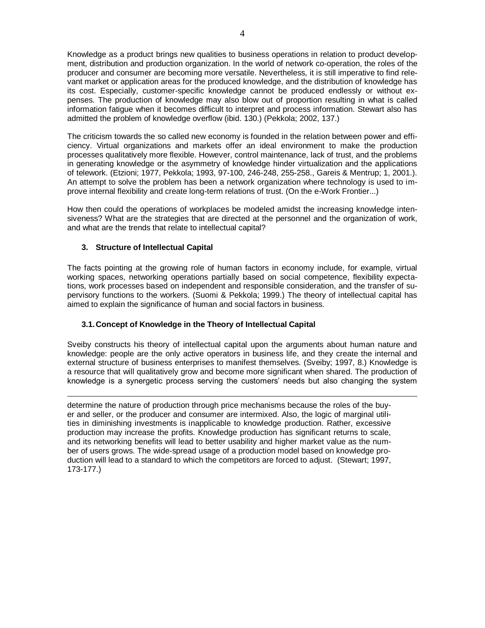Knowledge as a product brings new qualities to business operations in relation to product development, distribution and production organization. In the world of network co-operation, the roles of the producer and consumer are becoming more versatile. Nevertheless, it is still imperative to find relevant market or application areas for the produced knowledge, and the distribution of knowledge has its cost. Especially, customer-specific knowledge cannot be produced endlessly or without expenses. The production of knowledge may also blow out of proportion resulting in what is called information fatigue when it becomes difficult to interpret and process information. Stewart also has admitted the problem of knowledge overflow (ibid. 130.) (Pekkola; 2002, 137.)

The criticism towards the so called new economy is founded in the relation between power and efficiency. Virtual organizations and markets offer an ideal environment to make the production processes qualitatively more flexible. However, control maintenance, lack of trust, and the problems in generating knowledge or the asymmetry of knowledge hinder virtualization and the applications of telework. (Etzioni; 1977, Pekkola; 1993, 97-100, 246-248, 255-258., Gareis & Mentrup; 1, 2001.). An attempt to solve the problem has been a network organization where technology is used to improve internal flexibility and create long-term relations of trust. (On the e-Work Frontier...)

How then could the operations of workplaces be modeled amidst the increasing knowledge intensiveness? What are the strategies that are directed at the personnel and the organization of work, and what are the trends that relate to intellectual capital?

## **3. Structure of Intellectual Capital**

 $\overline{a}$ 

The facts pointing at the growing role of human factors in economy include, for example, virtual working spaces, networking operations partially based on social competence, flexibility expectations, work processes based on independent and responsible consideration, and the transfer of supervisory functions to the workers. (Suomi & Pekkola; 1999.) The theory of intellectual capital has aimed to explain the significance of human and social factors in business.

## **3.1.Concept of Knowledge in the Theory of Intellectual Capital**

Sveiby constructs his theory of intellectual capital upon the arguments about human nature and knowledge: people are the only active operators in business life, and they create the internal and external structure of business enterprises to manifest themselves. (Sveiby; 1997, 8.) Knowledge is a resource that will qualitatively grow and become more significant when shared. The production of knowledge is a synergetic process serving the customers' needs but also changing the system

determine the nature of production through price mechanisms because the roles of the buyer and seller, or the producer and consumer are intermixed. Also, the logic of marginal utilities in diminishing investments is inapplicable to knowledge production. Rather, excessive production may increase the profits. Knowledge production has significant returns to scale, and its networking benefits will lead to better usability and higher market value as the number of users grows. The wide-spread usage of a production model based on knowledge production will lead to a standard to which the competitors are forced to adjust. (Stewart; 1997, 173-177.)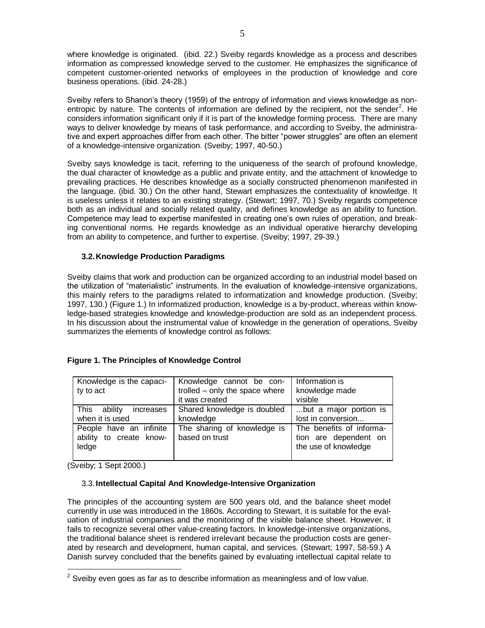where knowledge is originated. (ibid. 22.) Sveiby regards knowledge as a process and describes information as compressed knowledge served to the customer. He emphasizes the significance of competent customer-oriented networks of employees in the production of knowledge and core business operations. (ibid. 24-28.)

Sveiby refers to Shanon's theory (1959) of the entropy of information and views knowledge as nonentropic by nature. The contents of information are defined by the recipient, not the sender<sup>2</sup>. He considers information significant only if it is part of the knowledge forming process. There are many ways to deliver knowledge by means of task performance, and according to Sveiby, the administrative and expert approaches differ from each other. The bitter "power struggles" are often an element of a knowledge-intensive organization*.* (Sveiby; 1997, 40-50.)

Sveiby says knowledge is tacit, referring to the uniqueness of the search of profound knowledge, the dual character of knowledge as a public and private entity, and the attachment of knowledge to prevailing practices. He describes knowledge as a socially constructed phenomenon manifested in the language. (ibid. 30.) On the other hand, Stewart emphasizes the contextuality of knowledge. It is useless unless it relates to an existing strategy. (Stewart; 1997, 70.) Sveiby regards competence both as an individual and socially related quality, and defines knowledge as an ability to function. Competence may lead to expertise manifested in creating one's own rules of operation, and breaking conventional norms. He regards knowledge as an individual operative hierarchy developing from an ability to competence, and further to expertise. (Sveiby; 1997, 29-39.)

## **3.2.Knowledge Production Paradigms**

Sveiby claims that work and production can be organized according to an industrial model based on the utilization of "materialistic" instruments. In the evaluation of knowledge-intensive organizations, this mainly refers to the paradigms related to informatization and knowledge production. (Sveiby; 1997, 130.) (Figure 1.) In informatized production, knowledge is a by-product, whereas within knowledge-based strategies knowledge and knowledge-production are sold as an independent process. In his discussion about the instrumental value of knowledge in the generation of operations, Sveiby summarizes the elements of knowledge control as follows:

| Knowledge is the capaci-<br>ty to act                       | Knowledge cannot be con-<br>trolled - only the space where<br>it was created | Information is<br>knowledge made<br>visible                               |
|-------------------------------------------------------------|------------------------------------------------------------------------------|---------------------------------------------------------------------------|
| This ability<br>increases<br>when it is used                | Shared knowledge is doubled<br>knowledge                                     | but a major portion is<br>lost in conversion                              |
| People have an infinite<br>ability to create know-<br>ledge | The sharing of knowledge is<br>based on trust                                | The benefits of informa-<br>tion are dependent on<br>the use of knowledge |

### **Figure 1. The Principles of Knowledge Control**

(Sveiby; 1 Sept 2000.)

 $\overline{a}$ 

### 3.3.**Intellectual Capital And Knowledge-Intensive Organization**

The principles of the accounting system are 500 years old, and the balance sheet model currently in use was introduced in the 1860s. According to Stewart, it is suitable for the evaluation of industrial companies and the monitoring of the visible balance sheet. However, it fails to recognize several other value-creating factors. In knowledge-intensive organizations, the traditional balance sheet is rendered irrelevant because the production costs are generated by research and development, human capital, and services. (Stewart; 1997, 58-59.) A Danish survey concluded that the benefits gained by evaluating intellectual capital relate to

 $2$  Sveiby even goes as far as to describe information as meaningless and of low value.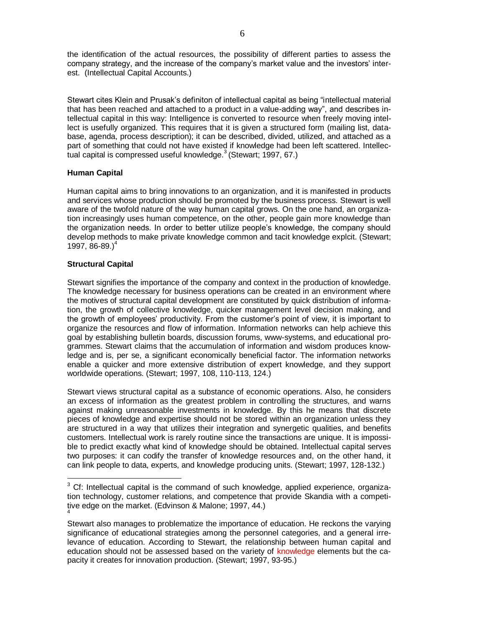the identification of the actual resources, the possibility of different parties to assess the company strategy, and the increase of the company's market value and the investors' interest. (Intellectual Capital Accounts.)

Stewart cites Klein and Prusak's definiton of intellectual capital as being "intellectual material that has been reached and attached to a product in a value-adding way", and describes intellectual capital in this way: Intelligence is converted to resource when freely moving intellect is usefully organized. This requires that it is given a structured form (mailing list, database, agenda, process description); it can be described, divided, utilized, and attached as a part of something that could not have existed if knowledge had been left scattered. Intellectual capital is compressed useful knowledge.<sup>3</sup> (Stewart; 1997, 67.)

## **Human Capital**

Human capital aims to bring innovations to an organization, and it is manifested in products and services whose production should be promoted by the business process. Stewart is well aware of the twofold nature of the way human capital grows. On the one hand, an organization increasingly uses human competence, on the other, people gain more knowledge than the organization needs. In order to better utilize people's knowledge, the company should develop methods to make private knowledge common and tacit knowledge explcit. (Stewart; 1997, 86-89. $)^4$ 

## **Structural Capital**

 $\overline{a}$ 

Stewart signifies the importance of the company and context in the production of knowledge. The knowledge necessary for business operations can be created in an environment where the motives of structural capital development are constituted by quick distribution of information, the growth of collective knowledge, quicker management level decision making, and the growth of employees' productivity. From the customer's point of view, it is important to organize the resources and flow of information. Information networks can help achieve this goal by establishing bulletin boards, discussion forums, www-systems, and educational programmes. Stewart claims that the accumulation of information and wisdom produces knowledge and is, per se, a significant economically beneficial factor. The information networks enable a quicker and more extensive distribution of expert knowledge, and they support worldwide operations. (Stewart; 1997, 108, 110-113, 124.)

Stewart views structural capital as a substance of economic operations. Also, he considers an excess of information as the greatest problem in controlling the structures, and warns against making unreasonable investments in knowledge. By this he means that discrete pieces of knowledge and expertise should not be stored within an organization unless they are structured in a way that utilizes their integration and synergetic qualities, and benefits customers. Intellectual work is rarely routine since the transactions are unique. It is impossible to predict exactly what kind of knowledge should be obtained. Intellectual capital serves two purposes: it can codify the transfer of knowledge resources and, on the other hand, it can link people to data, experts, and knowledge producing units. (Stewart; 1997, 128-132.)

 $3$  Cf: Intellectual capital is the command of such knowledge, applied experience, organization technology, customer relations, and competence that provide Skandia with a competitive edge on the market. (Edvinson & Malone; 1997, 44.) 4

Stewart also manages to problematize the importance of education. He reckons the varying significance of educational strategies among the personnel categories, and a general irrelevance of education. According to Stewart, the relationship between human capital and education should not be assessed based on the variety of knowledge elements but the capacity it creates for innovation production. (Stewart; 1997, 93-95.)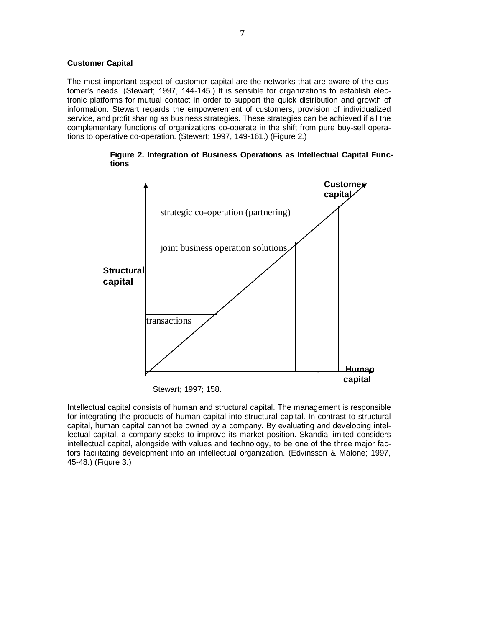#### **Customer Capital**

The most important aspect of customer capital are the networks that are aware of the customer's needs. (Stewart; 1997, 144-145.) It is sensible for organizations to establish electronic platforms for mutual contact in order to support the quick distribution and growth of information. Stewart regards the empowerement of customers, provision of individualized service, and profit sharing as business strategies. These strategies can be achieved if all the complementary functions of organizations co-operate in the shift from pure buy-sell operations to operative co-operation. (Stewart; 1997, 149-161.) (Figure 2.)

**Figure 2. Integration of Business Operations as Intellectual Capital Functions** 



Stewart; 1997; 158.

Intellectual capital consists of human and structural capital. The management is responsible for integrating the products of human capital into structural capital. In contrast to structural capital, human capital cannot be owned by a company. By evaluating and developing intellectual capital, a company seeks to improve its market position. Skandia limited considers intellectual capital, alongside with values and technology, to be one of the three major factors facilitating development into an intellectual organization. (Edvinsson & Malone; 1997, 45-48.) (Figure 3.)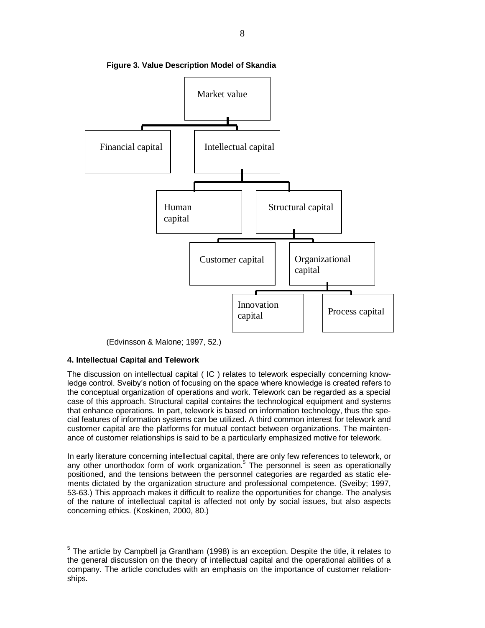

**Figure 3. Value Description Model of Skandia**

(Edvinsson & Malone; 1997, 52.)

### **4. Intellectual Capital and Telework**

 $\overline{a}$ 

The discussion on intellectual capital ( IC ) relates to telework especially concerning knowledge control. Sveiby's notion of focusing on the space where knowledge is created refers to the conceptual organization of operations and work. Telework can be regarded as a special case of this approach. Structural capital contains the technological equipment and systems that enhance operations. In part, telework is based on information technology, thus the special features of information systems can be utilized. A third common interest for telework and customer capital are the platforms for mutual contact between organizations. The maintenance of customer relationships is said to be a particularly emphasized motive for telework.

In early literature concerning intellectual capital, there are only few references to telework, or any other unorthodox form of work organization.<sup>5</sup> The personnel is seen as operationally positioned, and the tensions between the personnel categories are regarded as static elements dictated by the organization structure and professional competence. (Sveiby; 1997, 53-63.) This approach makes it difficult to realize the opportunities for change. The analysis of the nature of intellectual capital is affected not only by social issues, but also aspects concerning ethics. (Koskinen, 2000, 80.)

<sup>&</sup>lt;sup>5</sup> The article by Campbell ja Grantham (1998) is an exception. Despite the title, it relates to the general discussion on the theory of intellectual capital and the operational abilities of a company. The article concludes with an emphasis on the importance of customer relationships.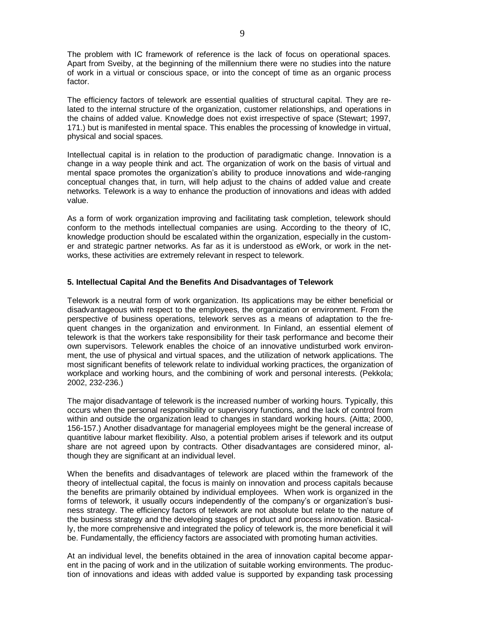The problem with IC framework of reference is the lack of focus on operational spaces. Apart from Sveiby, at the beginning of the millennium there were no studies into the nature of work in a virtual or conscious space, or into the concept of time as an organic process factor.

The efficiency factors of telework are essential qualities of structural capital. They are related to the internal structure of the organization, customer relationships, and operations in the chains of added value. Knowledge does not exist irrespective of space (Stewart; 1997, 171.) but is manifested in mental space. This enables the processing of knowledge in virtual, physical and social spaces.

Intellectual capital is in relation to the production of paradigmatic change. Innovation is a change in a way people think and act. The organization of work on the basis of virtual and mental space promotes the organization's ability to produce innovations and wide-ranging conceptual changes that, in turn, will help adjust to the chains of added value and create networks. Telework is a way to enhance the production of innovations and ideas with added value.

As a form of work organization improving and facilitating task completion, telework should conform to the methods intellectual companies are using. According to the theory of IC, knowledge production should be escalated within the organization, especially in the customer and strategic partner networks. As far as it is understood as eWork, or work in the networks, these activities are extremely relevant in respect to telework.

#### **5. Intellectual Capital And the Benefits And Disadvantages of Telework**

Telework is a neutral form of work organization. Its applications may be either beneficial or disadvantageous with respect to the employees, the organization or environment. From the perspective of business operations, telework serves as a means of adaptation to the frequent changes in the organization and environment. In Finland, an essential element of telework is that the workers take responsibility for their task performance and become their own supervisors. Telework enables the choice of an innovative undisturbed work environment, the use of physical and virtual spaces, and the utilization of network applications. The most significant benefits of telework relate to individual working practices, the organization of workplace and working hours, and the combining of work and personal interests. (Pekkola; 2002, 232-236.)

The major disadvantage of telework is the increased number of working hours. Typically, this occurs when the personal responsibility or supervisory functions, and the lack of control from within and outside the organization lead to changes in standard working hours. (Aitta; 2000, 156-157.) Another disadvantage for managerial employees might be the general increase of quantitive labour market flexibility. Also, a potential problem arises if telework and its output share are not agreed upon by contracts. Other disadvantages are considered minor, although they are significant at an individual level.

When the benefits and disadvantages of telework are placed within the framework of the theory of intellectual capital, the focus is mainly on innovation and process capitals because the benefits are primarily obtained by individual employees. When work is organized in the forms of telework, it usually occurs independently of the company's or organization's business strategy. The efficiency factors of telework are not absolute but relate to the nature of the business strategy and the developing stages of product and process innovation. Basically, the more comprehensive and integrated the policy of telework is, the more beneficial it will be. Fundamentally, the efficiency factors are associated with promoting human activities.

At an individual level, the benefits obtained in the area of innovation capital become apparent in the pacing of work and in the utilization of suitable working environments. The production of innovations and ideas with added value is supported by expanding task processing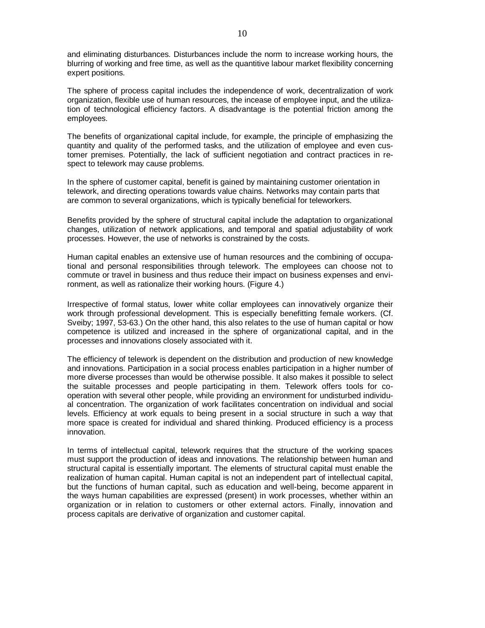and eliminating disturbances. Disturbances include the norm to increase working hours, the blurring of working and free time, as well as the quantitive labour market flexibility concerning expert positions.

The sphere of process capital includes the independence of work, decentralization of work organization, flexible use of human resources, the incease of employee input, and the utilization of technological efficiency factors. A disadvantage is the potential friction among the employees.

The benefits of organizational capital include, for example, the principle of emphasizing the quantity and quality of the performed tasks, and the utilization of employee and even customer premises. Potentially, the lack of sufficient negotiation and contract practices in respect to telework may cause problems.

In the sphere of customer capital, benefit is gained by maintaining customer orientation in telework, and directing operations towards value chains. Networks may contain parts that are common to several organizations, which is typically beneficial for teleworkers.

Benefits provided by the sphere of structural capital include the adaptation to organizational changes, utilization of network applications, and temporal and spatial adjustability of work processes. However, the use of networks is constrained by the costs.

Human capital enables an extensive use of human resources and the combining of occupational and personal responsibilities through telework. The employees can choose not to commute or travel in business and thus reduce their impact on business expenses and environment, as well as rationalize their working hours. (Figure 4.)

Irrespective of formal status, lower white collar employees can innovatively organize their work through professional development. This is especially benefitting female workers. (Cf. Sveiby; 1997, 53-63.) On the other hand, this also relates to the use of human capital or how competence is utilized and increased in the sphere of organizational capital, and in the processes and innovations closely associated with it.

The efficiency of telework is dependent on the distribution and production of new knowledge and innovations. Participation in a social process enables participation in a higher number of more diverse processes than would be otherwise possible. It also makes it possible to select the suitable processes and people participating in them. Telework offers tools for cooperation with several other people, while providing an environment for undisturbed individual concentration. The organization of work facilitates concentration on individual and social levels. Efficiency at work equals to being present in a social structure in such a way that more space is created for individual and shared thinking. Produced efficiency is a process innovation.

In terms of intellectual capital, telework requires that the structure of the working spaces must support the production of ideas and innovations. The relationship between human and structural capital is essentially important. The elements of structural capital must enable the realization of human capital. Human capital is not an independent part of intellectual capital, but the functions of human capital, such as education and well-being, become apparent in the ways human capabilities are expressed (present) in work processes, whether within an organization or in relation to customers or other external actors. Finally, innovation and process capitals are derivative of organization and customer capital.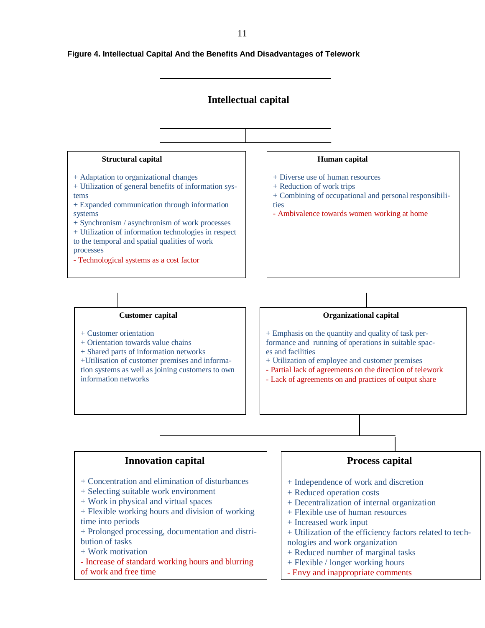

## **Figure 4. Intellectual Capital And the Benefits And Disadvantages of Telework**